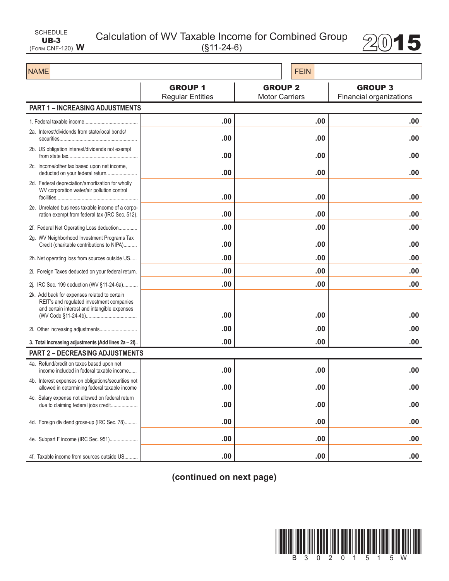| SCHEDULE                |  |
|-------------------------|--|
| $UB-3$                  |  |
| (FORM CNF-120) $\bm{W}$ |  |

Calculation of WV Taxable Income for Combined Group 2015



| <b>NAME</b>                                                                                                                               |                                           | <b>FEIN</b>                             |                                           |  |
|-------------------------------------------------------------------------------------------------------------------------------------------|-------------------------------------------|-----------------------------------------|-------------------------------------------|--|
|                                                                                                                                           | <b>GROUP 1</b><br><b>Regular Entities</b> | <b>GROUP 2</b><br><b>Motor Carriers</b> | <b>GROUP 3</b><br>Financial organizations |  |
| <b>PART 1 - INCREASING ADJUSTMENTS</b>                                                                                                    |                                           |                                         |                                           |  |
|                                                                                                                                           | .00                                       | .00                                     | .00                                       |  |
| 2a. Interest/dividends from state/local bonds/                                                                                            | .00                                       | .00                                     | .00                                       |  |
| 2b. US obligation interest/dividends not exempt                                                                                           | .00                                       | .00                                     | .00                                       |  |
| 2c. Income/other tax based upon net income.<br>deducted on your federal return                                                            | .00                                       | .00                                     | .00                                       |  |
| 2d. Federal depreciation/amortization for wholly<br>WV corporation water/air pollution control                                            | .00                                       | .00                                     | .00                                       |  |
| 2e. Unrelated business taxable income of a corpo-<br>ration exempt from federal tax (IRC Sec. 512).                                       | .00                                       | .00                                     | .00                                       |  |
| 2f. Federal Net Operating Loss deduction                                                                                                  | .00                                       | .00                                     | .00                                       |  |
| 2g. WV Neighborhood Investment Programs Tax<br>Credit (charitable contributions to NIPA)                                                  | .00                                       | .00                                     | .00                                       |  |
| 2h. Net operating loss from sources outside US                                                                                            | .00                                       | .00                                     | .00                                       |  |
| 2i. Foreign Taxes deducted on your federal return.                                                                                        | .00                                       | .00                                     | .00                                       |  |
| 2j. IRC Sec. 199 deduction (WV §11-24-6a)                                                                                                 | .00                                       | .00                                     | .00                                       |  |
| 2k. Add back for expenses related to certain<br>REIT's and regulated investment companies<br>and certain interest and intangible expenses |                                           |                                         |                                           |  |
|                                                                                                                                           | .00                                       | .00                                     | .00                                       |  |
|                                                                                                                                           | .00                                       | .00                                     | .00                                       |  |
| 3. Total increasing adjustments (Add lines 2a - 2l)                                                                                       | .00                                       | .00                                     | .00                                       |  |
| <b>PART 2 - DECREASING ADJUSTMENTS</b>                                                                                                    |                                           |                                         |                                           |  |
| 4a. Refund/credit on taxes based upon net<br>income included in federal taxable income                                                    | .00                                       | .00                                     | .00                                       |  |
| 4b. Interest expenses on obligations/securities not<br>allowed in determining federal taxable income                                      | .00                                       | .00                                     | .00                                       |  |
| 4c. Salary expense not allowed on federal return<br>due to claiming federal jobs credit                                                   | .00                                       | .00                                     | .00                                       |  |
| 4d. Foreign dividend gross-up (IRC Sec. 78)                                                                                               | .00                                       | .00                                     | .00                                       |  |
| 4e. Subpart F income (IRC Sec. 951)                                                                                                       | .00                                       | .00                                     | .00                                       |  |
| 4f. Taxable income from sources outside US                                                                                                | .00                                       | .00                                     | .00                                       |  |

**(continued on next page)**